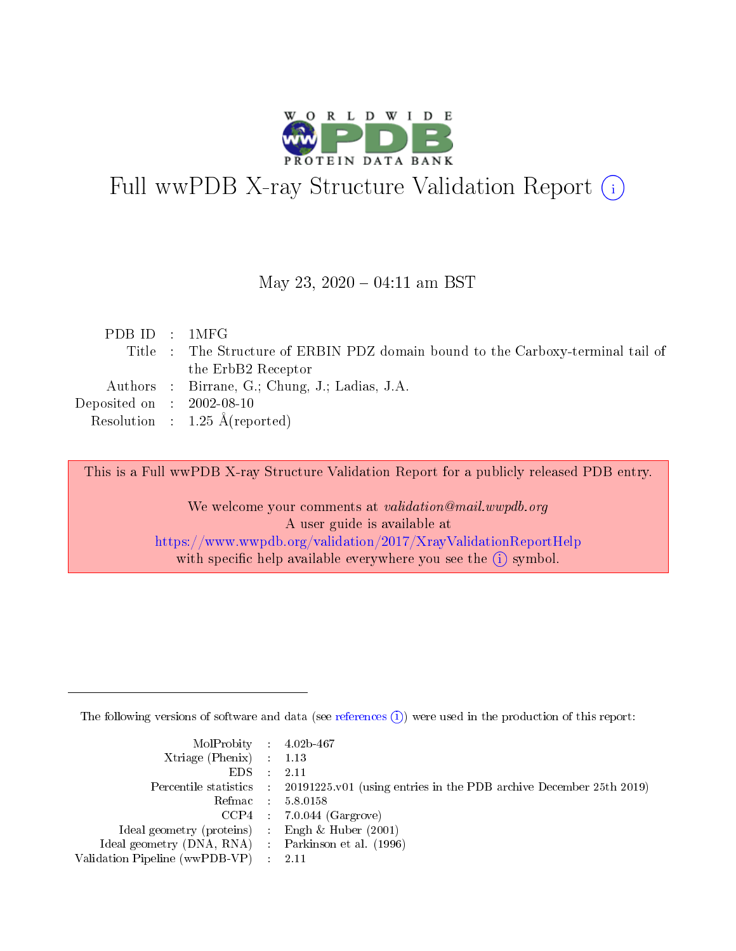

# Full wwPDB X-ray Structure Validation Report (i)

#### May 23,  $2020 - 04:11$  am BST

| PDBID : 1MFG                         |                                                                                 |
|--------------------------------------|---------------------------------------------------------------------------------|
|                                      | Title : The Structure of ERBIN PDZ domain bound to the Carboxy-terminal tail of |
|                                      | the ErbB2 Receptor                                                              |
|                                      | Authors : Birrane, G.; Chung, J.; Ladias, J.A.                                  |
| Deposited on $\therefore$ 2002-08-10 |                                                                                 |
|                                      | Resolution : $1.25 \text{ Å}$ (reported)                                        |

This is a Full wwPDB X-ray Structure Validation Report for a publicly released PDB entry.

We welcome your comments at validation@mail.wwpdb.org A user guide is available at <https://www.wwpdb.org/validation/2017/XrayValidationReportHelp> with specific help available everywhere you see the  $(i)$  symbol.

The following versions of software and data (see [references](https://www.wwpdb.org/validation/2017/XrayValidationReportHelp#references)  $(i)$ ) were used in the production of this report:

| MolProbity : 4.02b-467                              |                                                                                            |
|-----------------------------------------------------|--------------------------------------------------------------------------------------------|
| $Xtriangle (Phenix)$ : 1.13                         |                                                                                            |
| $EDS = 2.11$                                        |                                                                                            |
|                                                     | Percentile statistics : 20191225.v01 (using entries in the PDB archive December 25th 2019) |
|                                                     | Refmac : 5.8.0158                                                                          |
|                                                     | $CCP4$ : 7.0.044 (Gargrove)                                                                |
| Ideal geometry (proteins) : Engh $\&$ Huber (2001)  |                                                                                            |
| Ideal geometry (DNA, RNA) : Parkinson et al. (1996) |                                                                                            |
| Validation Pipeline (wwPDB-VP) : 2.11               |                                                                                            |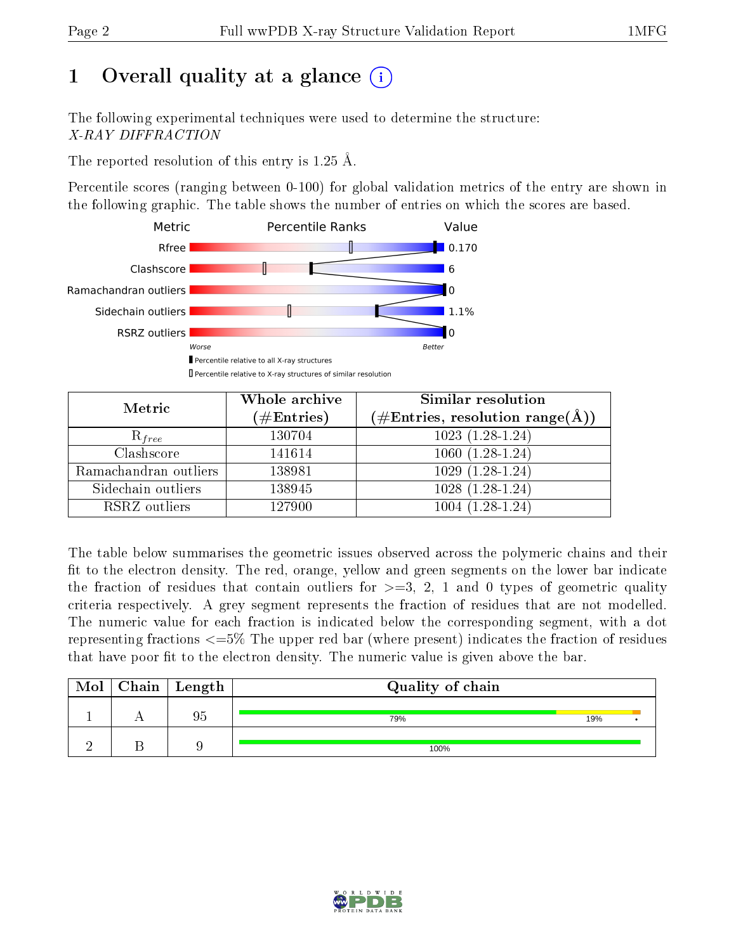## 1 [O](https://www.wwpdb.org/validation/2017/XrayValidationReportHelp#overall_quality)verall quality at a glance  $(i)$

The following experimental techniques were used to determine the structure: X-RAY DIFFRACTION

The reported resolution of this entry is 1.25 Å.

Percentile scores (ranging between 0-100) for global validation metrics of the entry are shown in the following graphic. The table shows the number of entries on which the scores are based.



| Metric                | Whole archive<br>$(\#\text{Entries})$ | Similar resolution<br>$(\#\text{Entries}, \text{resolution range}(\textup{\AA}))$ |
|-----------------------|---------------------------------------|-----------------------------------------------------------------------------------|
| $R_{free}$            | 130704                                | $1023(1.28-1.24)$                                                                 |
| Clashscore            | 141614                                | $1060(1.28-1.24)$                                                                 |
| Ramachandran outliers | 138981                                | $1029(1.28-1.24)$                                                                 |
| Sidechain outliers    | 138945                                | $1028(1.28-1.24)$                                                                 |
| RSRZ outliers         | 127900                                | $1004(1.28-1.24)$                                                                 |

The table below summarises the geometric issues observed across the polymeric chains and their fit to the electron density. The red, orange, yellow and green segments on the lower bar indicate the fraction of residues that contain outliers for  $>=3, 2, 1$  and 0 types of geometric quality criteria respectively. A grey segment represents the fraction of residues that are not modelled. The numeric value for each fraction is indicated below the corresponding segment, with a dot representing fractions  $\epsilon=5\%$  The upper red bar (where present) indicates the fraction of residues that have poor fit to the electron density. The numeric value is given above the bar.

| Mol | $C$ hain $\vert$ Length | Quality of chain |     |  |
|-----|-------------------------|------------------|-----|--|
|     | 95                      | 79%              | 19% |  |
|     |                         | 100%             |     |  |

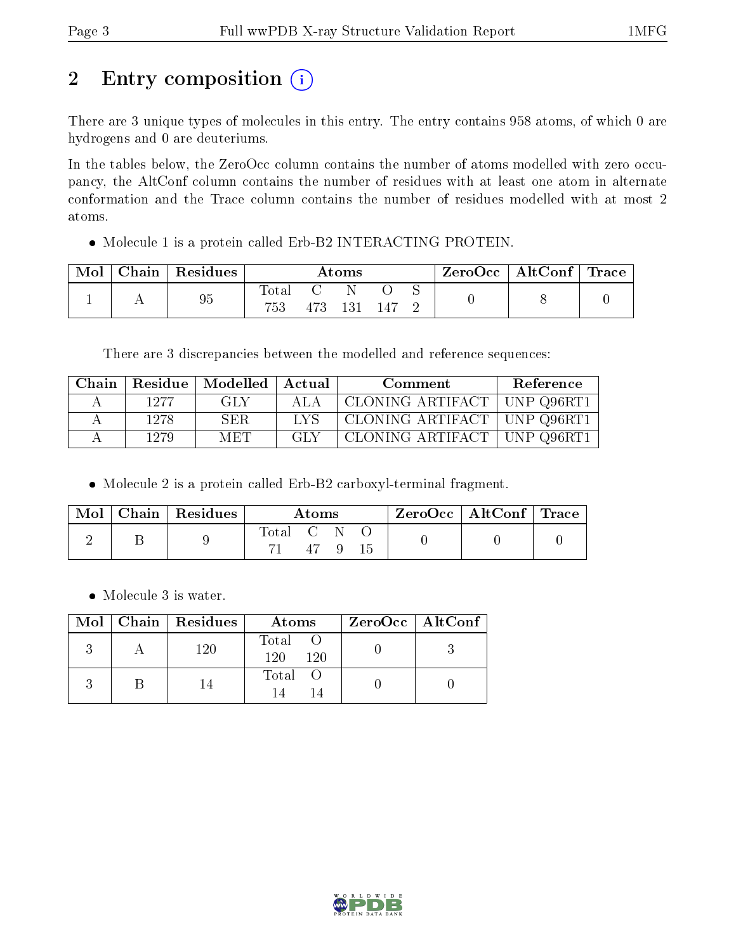# 2 Entry composition (i)

There are 3 unique types of molecules in this entry. The entry contains 958 atoms, of which 0 are hydrogens and 0 are deuteriums.

In the tables below, the ZeroOcc column contains the number of atoms modelled with zero occupancy, the AltConf column contains the number of residues with at least one atom in alternate conformation and the Trace column contains the number of residues modelled with at most 2 atoms.

Molecule 1 is a protein called Erb-B2 INTERACTING PROTEIN.

| Mol | Chain   Residues | $\rm\bf Atoms$    |     |     |  | ZeroOcc   AltConf   Trace |  |  |
|-----|------------------|-------------------|-----|-----|--|---------------------------|--|--|
|     | 95               | l'otal<br>$753\,$ | 473 | 131 |  |                           |  |  |

There are 3 discrepancies between the modelled and reference sequences:

| Chain | Residue | + Modelled + | Actual | Comment                       | <b>Reference</b> |
|-------|---------|--------------|--------|-------------------------------|------------------|
|       | 1277    | GLY          | ALA    | CLONING ARTIFACT   UNP Q96RT1 |                  |
|       | 1278    | SER          | LVS.   | CLONING ARTIFACT   UNP Q96RT1 |                  |
|       | 1279    | MET          | -GL Y  | CLONING ARTIFACT   UNP Q96RT1 |                  |

Molecule 2 is a protein called Erb-B2 carboxyl-terminal fragment.

| Mol | $\alpha$ Chain   Residues $\beta$ | Atoms   |  |  | $\text{ZeroOcc} \mid \text{AltConf} \mid \text{Trace}$ |  |
|-----|-----------------------------------|---------|--|--|--------------------------------------------------------|--|
|     |                                   | Total C |  |  |                                                        |  |

• Molecule 3 is water.

|  | $Mol$   Chain   Residues | Atoms                          | ZeroOcc   AltConf |
|--|--------------------------|--------------------------------|-------------------|
|  | 120                      | $\mathrm{Total}$<br>120<br>120 |                   |
|  |                          | Total O                        |                   |

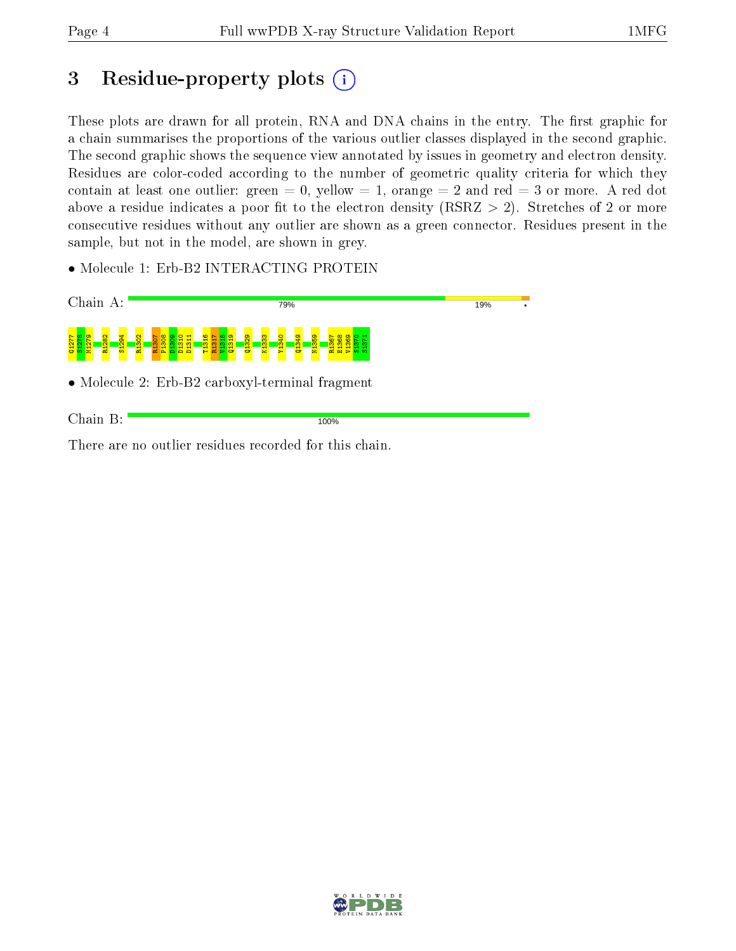## 3 Residue-property plots  $(i)$

These plots are drawn for all protein, RNA and DNA chains in the entry. The first graphic for a chain summarises the proportions of the various outlier classes displayed in the second graphic. The second graphic shows the sequence view annotated by issues in geometry and electron density. Residues are color-coded according to the number of geometric quality criteria for which they contain at least one outlier: green  $= 0$ , yellow  $= 1$ , orange  $= 2$  and red  $= 3$  or more. A red dot above a residue indicates a poor fit to the electron density (RSRZ  $> 2$ ). Stretches of 2 or more consecutive residues without any outlier are shown as a green connector. Residues present in the sample, but not in the model, are shown in grey.

• Molecule 1: Erb-B2 INTERACTING PROTEIN



There are no outlier residues recorded for this chain.

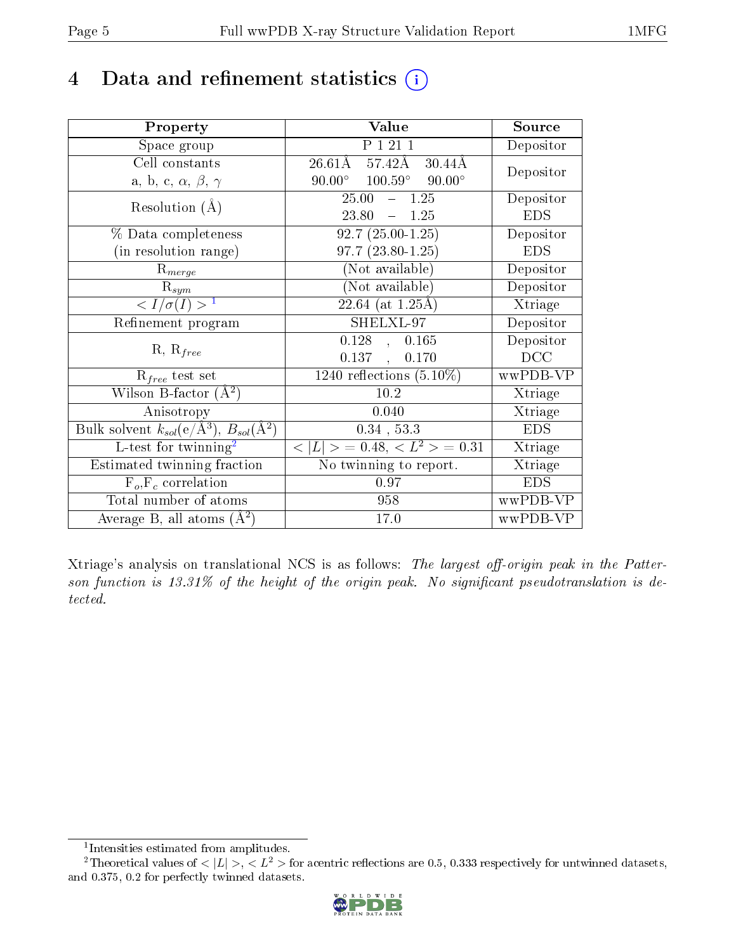## 4 Data and refinement statistics  $(i)$

| Property                                                                | Value                                                    | Source     |
|-------------------------------------------------------------------------|----------------------------------------------------------|------------|
| Space group                                                             | P 1 21 1                                                 | Depositor  |
| Cell constants                                                          | $26.61\text{\AA}$ $57.42\text{\AA}$<br>$30.44\text{\AA}$ |            |
| a, b, c, $\alpha$ , $\beta$ , $\gamma$                                  | $90.00^{\circ}$ $100.59^{\circ}$ $90.00^{\circ}$         | Depositor  |
| Resolution $(A)$                                                        | $-1.25$<br>25.00                                         | Depositor  |
|                                                                         | 23.80<br>$-1.25$                                         | <b>EDS</b> |
| % Data completeness                                                     | $92.7(25.00-1.25)$                                       | Depositor  |
| (in resolution range)                                                   | $97.7(23.80-1.25)$                                       | <b>EDS</b> |
| $R_{merge}$                                                             | (Not available)                                          | Depositor  |
| $\mathrm{R}_{sym}$                                                      | (Not available)                                          | Depositor  |
| $\langle I/\sigma(I) \rangle^{-1}$                                      | $\sqrt{22.64 \text{ (at } 1.25 \text{\AA})}$             | Xtriage    |
| Refinement program                                                      | SHELXL-97                                                | Depositor  |
|                                                                         | $0.128$ , $0.165$                                        | Depositor  |
| $R, R_{free}$                                                           | $0.137$ ,<br>0.170                                       | DCC        |
| $\mathcal{R}_{free}$ test set                                           | 1240 reflections $(5.10\%)$                              | wwPDB-VP   |
| Wilson B-factor $(A^2)$                                                 | $10.2\,$                                                 | Xtriage    |
| Anisotropy                                                              | 0.040                                                    | Xtriage    |
| Bulk solvent $k_{sol}(\mathrm{e}/\mathrm{A}^3),\,B_{sol}(\mathrm{A}^2)$ | $0.34$ , 53.3                                            | <b>EDS</b> |
| L-test for $\mathrm{twinning}^2$                                        | $< L >$ = 0.48, $< L2 >$ = 0.31                          | Xtriage    |
| Estimated twinning fraction                                             | No twinning to report.                                   | Xtriage    |
| $F_o, F_c$ correlation                                                  | 0.97                                                     | <b>EDS</b> |
| Total number of atoms                                                   | 958                                                      | wwPDB-VP   |
| Average B, all atoms $(A^2)$                                            | 17.0                                                     | wwPDB-VP   |

Xtriage's analysis on translational NCS is as follows: The largest off-origin peak in the Patterson function is  $13.31\%$  of the height of the origin peak. No significant pseudotranslation is detected.

<sup>&</sup>lt;sup>2</sup>Theoretical values of  $\langle |L| \rangle$ ,  $\langle L^2 \rangle$  for acentric reflections are 0.5, 0.333 respectively for untwinned datasets, and 0.375, 0.2 for perfectly twinned datasets.



<span id="page-4-1"></span><span id="page-4-0"></span><sup>1</sup> Intensities estimated from amplitudes.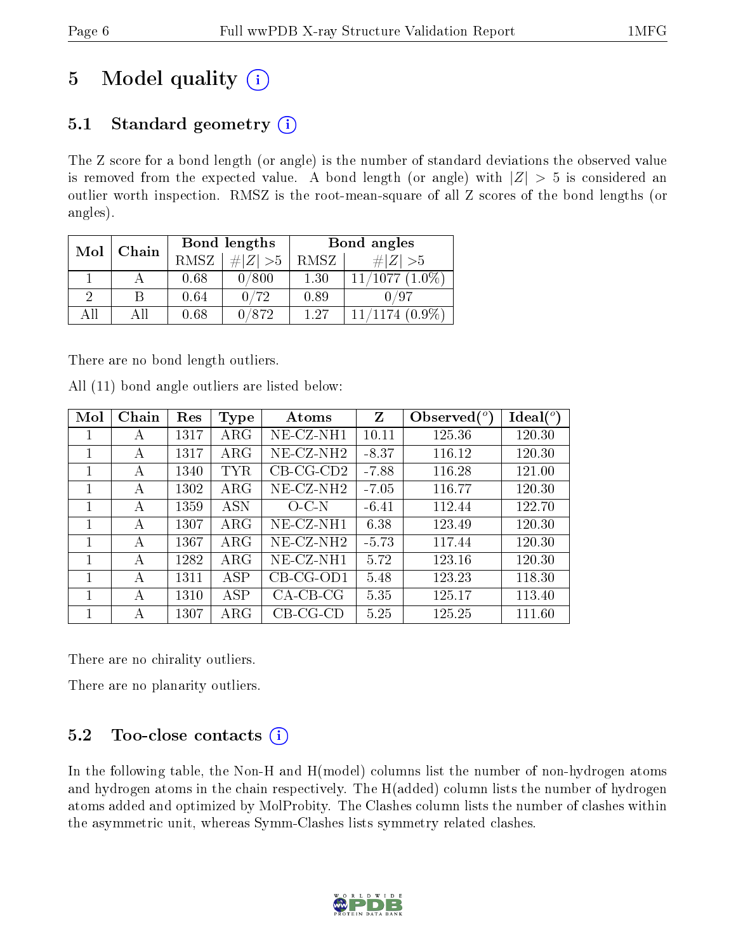## 5 Model quality  $(i)$

## 5.1 Standard geometry  $(i)$

The Z score for a bond length (or angle) is the number of standard deviations the observed value is removed from the expected value. A bond length (or angle) with  $|Z| > 5$  is considered an outlier worth inspection. RMSZ is the root-mean-square of all Z scores of the bond lengths (or angles).

| Mol | Chain |      | Bond lengths       | Bond angles |                     |  |
|-----|-------|------|--------------------|-------------|---------------------|--|
|     |       | RMSZ | # $ Z >5$          | RMSZ        | $\ Z\  > 5$         |  |
|     |       | 0.68 | 0/800              | 1.30        | $11/1077$ $(1.0\%)$ |  |
| റ   | R     | 0.64 | 0/72               | 0.89        |                     |  |
| AH  |       | 0.68 | $0\,\mathrm{/}872$ | 1.27        | $11/1174$ $(0.9\%)$ |  |

There are no bond length outliers.

All (11) bond angle outliers are listed below:

| Mol | Chain | Res  | Type       | Atoms        | Z       | Observed $(^\circ)$ | $Ideal(^o)$ |
|-----|-------|------|------------|--------------|---------|---------------------|-------------|
| 1   | А     | 1317 | $\rm{ARG}$ | $NE$ -CZ-NH1 | 10.11   | 125.36              | 120.30      |
| 1   | А     | 1317 | $\rm{ARG}$ | $NE- CZ-NH2$ | $-8.37$ | 116.12              | 120.30      |
| 1   | А     | 1340 | TYR.       | $CB-CG-CD2$  | $-7.88$ | 116.28              | 121.00      |
| 1   | A     | 1302 | $\rm{ARG}$ | $NE- CZ-NH2$ | $-7.05$ | 116.77              | 120.30      |
| 1   | А     | 1359 | <b>ASN</b> | $O-C-N$      | $-6.41$ | 112.44              | 122.70      |
| 1   | А     | 1307 | $\rm{ARG}$ | NE-CZ-NH1    | 6.38    | 123.49              | 120.30      |
| 1   | А     | 1367 | $\rm{ARG}$ | $NE- CZ-NH2$ | $-5.73$ | 117.44              | 120.30      |
| 1   | А     | 1282 | $\rm{ARG}$ | NE-CZ-NH1    | 5.72    | 123.16              | 120.30      |
|     | А     | 1311 | ASP        | $CB-CG-OD1$  | 5.48    | 123.23              | 118.30      |
|     | А     | 1310 | ASP        | $CA-CB-CG$   | 5.35    | 125.17              | 113.40      |
| 1   | А     | 1307 | ARG        | $CB-CG-CD$   | 5.25    | 125.25              | 111.60      |

There are no chirality outliers.

There are no planarity outliers.

### 5.2 Too-close contacts  $(i)$

In the following table, the Non-H and H(model) columns list the number of non-hydrogen atoms and hydrogen atoms in the chain respectively. The H(added) column lists the number of hydrogen atoms added and optimized by MolProbity. The Clashes column lists the number of clashes within the asymmetric unit, whereas Symm-Clashes lists symmetry related clashes.

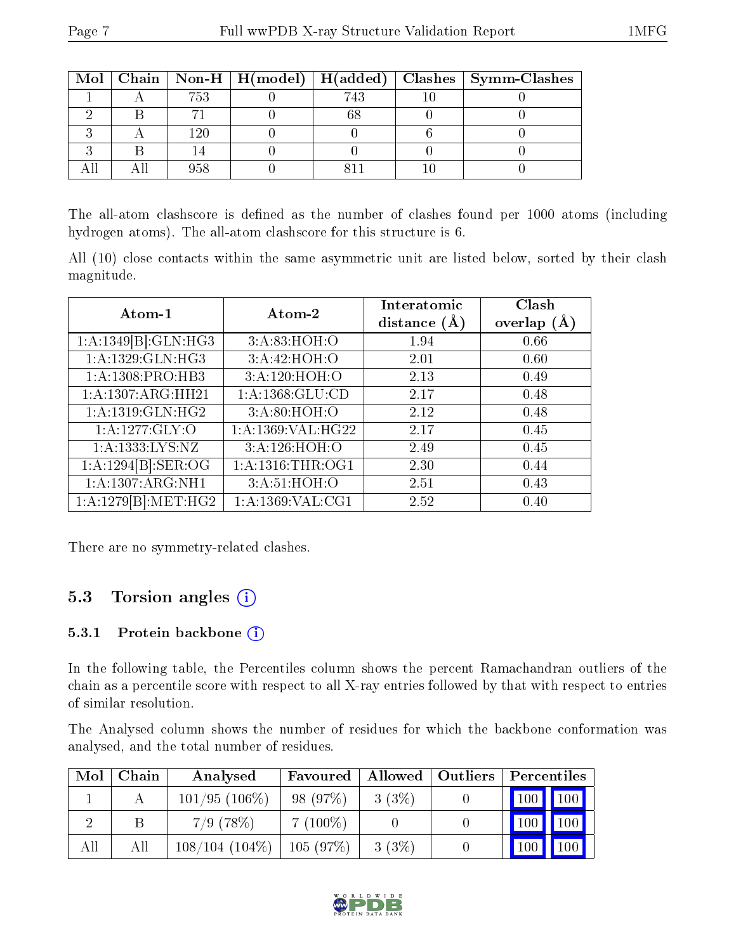|  |      |     | Mol   Chain   Non-H   H(model)   H(added)   Clashes   Symm-Clashes |
|--|------|-----|--------------------------------------------------------------------|
|  | 753  | 743 |                                                                    |
|  |      |     |                                                                    |
|  | l 90 |     |                                                                    |
|  |      |     |                                                                    |
|  |      |     |                                                                    |

The all-atom clashscore is defined as the number of clashes found per 1000 atoms (including hydrogen atoms). The all-atom clashscore for this structure is 6.

All (10) close contacts within the same asymmetric unit are listed below, sorted by their clash magnitude.

| Atom-1                           | Atom-2               | Interatomic<br>distance $(\AA)$ | Clash<br>overlap $(A)$ |
|----------------------------------|----------------------|---------------------------------|------------------------|
| $1:A:1349[B]\overline{GLN:HG3}$  | 3:A:83:HOH:O         | 1.94                            | 0.66                   |
| 1:A:1329:GLN:HG3                 | 3:A:42:HOH:O         | 2.01                            | 0.60                   |
| 1:A:1308:PRO:HB3                 | 3:A:120:HOH:O        | 2.13                            | 0.49                   |
| 1:A:1307:ARG:HH21                | 1: A: 1368: GLU: CD  | 2.17                            | 0.48                   |
| 1: A: 1319: GLN: HG2             | 3:A:80:HOH:O         | 2.12                            | 0.48                   |
| 1: A: 1277: GLY: O               | 1:A:1369:VAL:HG22    | 2.17                            | 0.45                   |
| 1: A: 1333: LYS: NZ              | 3:A:126:HOH:O        | 2.49                            | 0.45                   |
| 1:A:1294[B]:SER:OG               | 1: A: 1316: THR: OG1 | 2.30                            | 0.44                   |
| 1:A:1307:ARG:NH1                 | 3:A:51:HOH:O         | 2.51                            | 0.43                   |
| $1:A:1279[B]:M\overline{ET:HG2}$ | 1:A:1369:VAL:CG1     | 2.52                            | 0.40                   |

There are no symmetry-related clashes.

### 5.3 Torsion angles (i)

#### 5.3.1 Protein backbone (i)

In the following table, the Percentiles column shows the percent Ramachandran outliers of the chain as a percentile score with respect to all X-ray entries followed by that with respect to entries of similar resolution.

The Analysed column shows the number of residues for which the backbone conformation was analysed, and the total number of residues.

| Mol | Chain | Analysed         | Favoured   | Allowed   Outliers | $\mid$ Percentiles              |  |
|-----|-------|------------------|------------|--------------------|---------------------------------|--|
|     |       | $101/95(106\%)$  | 98 (97%)   | $3(3\%)$           | $100$   $100$                   |  |
|     |       | $7/9$ (78\%)     | $7(100\%)$ |                    | 100                             |  |
| All | Аll   | $108/104(104\%)$ | 105(97%)   | $3(3\%)$           | $\mid$ 100 $\mid$ $\mid$<br>100 |  |

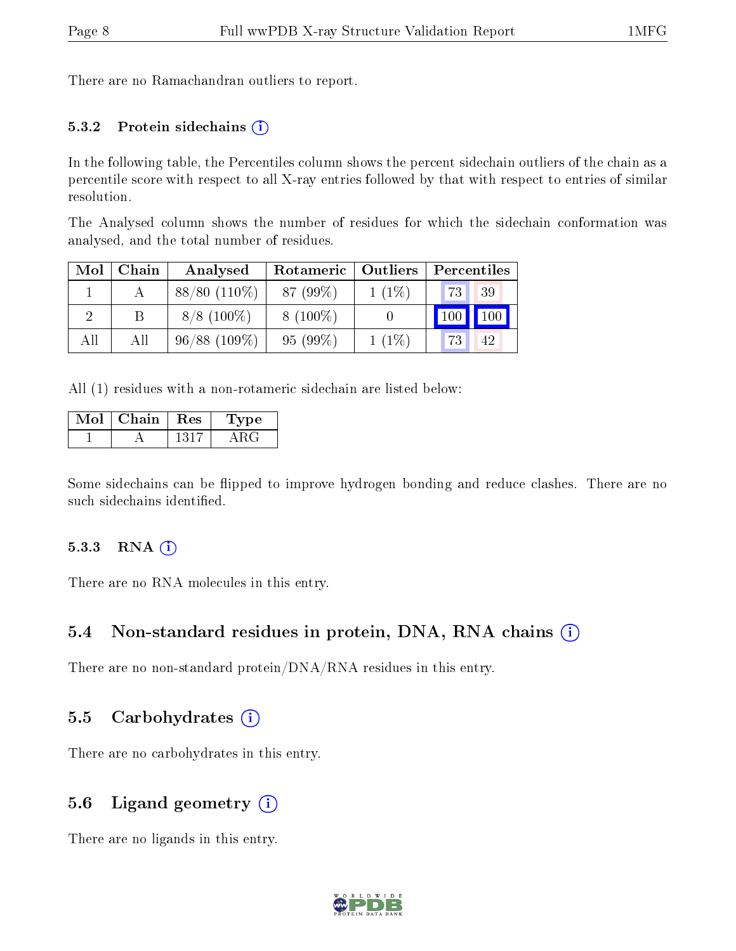There are no Ramachandran outliers to report.

#### 5.3.2 Protein sidechains  $(i)$

In the following table, the Percentiles column shows the percent sidechain outliers of the chain as a percentile score with respect to all X-ray entries followed by that with respect to entries of similar resolution.

The Analysed column shows the number of residues for which the sidechain conformation was analysed, and the total number of residues.

| Mol | Chain | Analysed        | Rotameric  | Outliers | Percentiles |  |
|-----|-------|-----------------|------------|----------|-------------|--|
|     |       | $88/80(110\%)$  | 87 (99%)   | $1(1\%)$ | 73<br>39    |  |
|     |       | $8/8$ (100%)    | $8(100\%)$ |          | 100<br>100  |  |
| All | All   | $96/88$ (109\%) | $95(99\%)$ | $1(1\%)$ | 73<br>42    |  |

All (1) residues with a non-rotameric sidechain are listed below:

| Mol | Chain | ${\mathop{\mathrm{Res}}\nolimits}$ | 'Type |
|-----|-------|------------------------------------|-------|
|     |       | 1317                               |       |

Some sidechains can be flipped to improve hydrogen bonding and reduce clashes. There are no such sidechains identified.

#### 5.3.3 RNA (i)

There are no RNA molecules in this entry.

#### 5.4 Non-standard residues in protein, DNA, RNA chains (i)

There are no non-standard protein/DNA/RNA residues in this entry.

#### 5.5 Carbohydrates  $(i)$

There are no carbohydrates in this entry.

#### 5.6 Ligand geometry  $(i)$

There are no ligands in this entry.

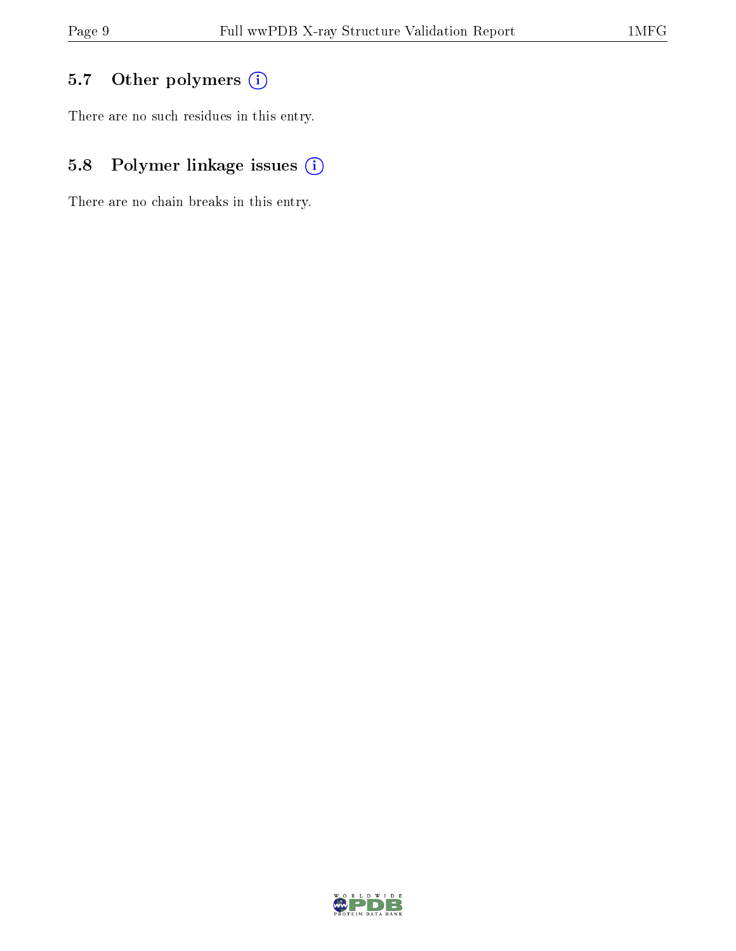## 5.7 [O](https://www.wwpdb.org/validation/2017/XrayValidationReportHelp#nonstandard_residues_and_ligands)ther polymers (i)

There are no such residues in this entry.

## 5.8 Polymer linkage issues (i)

There are no chain breaks in this entry.